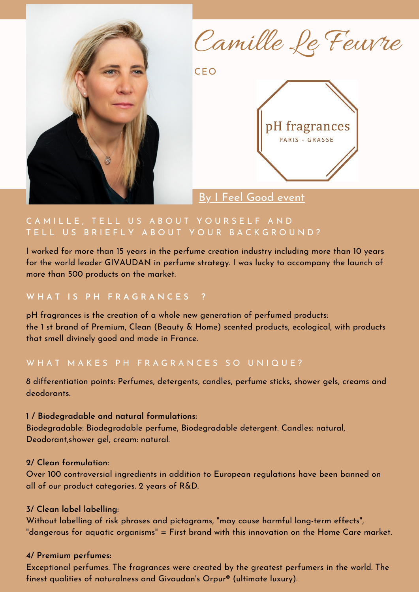

# CAMILLE, TELL US ABOUT YOURSELF AND TELL US BRIEFLY ABOUT YOUR BACKGROUND?

I worked for more than 15 years in the perfume creation industry including more than 10 years for the world leader GIVAUDAN in perfume strategy. I was lucky to accompany the launch of more than 500 products on the market.

# **W H A T I S P H F R A G R A N C E S ?**

pH fragrances is the creation of a whole new generation of perfumed products: the 1 st brand of Premium, Clean (Beauty & Home) scented products, ecological, with products that smell divinely good and made in France.

## WHAT MAKES PH FRAGRANCES SO UNIQUE?

8 differentiation points: Perfumes, detergents, candles, perfume sticks, shower gels, creams and deodorants.

### **1 / Biodegradable and natural formulations:**

Biodegradable: Biodegradable perfume, Biodegradable detergent. Candles: natural, Deodorant,shower gel, cream: natural.

### **2/ Clean formulation:**

Over 100 controversial ingredients in addition to European regulations have been banned on all of our product categories. 2 years of R&D.

## **3/ Clean label labelling:**

Without labelling of risk phrases and pictograms, "may cause harmful long-term effects", "dangerous for aquatic organisms" = First brand with this innovation on the Home Care market.

### **4/ Premium perfumes:**

Exceptional perfumes. The fragrances were created by the greatest perfumers in the world. The finest qualities of naturalness and Givaudan's Orpur® (ultimate luxury).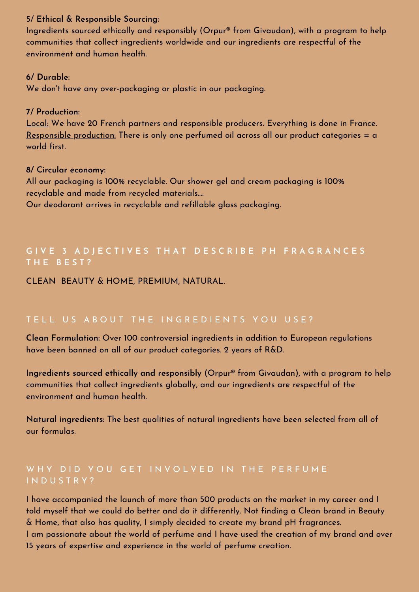### 5/ **Ethical & Responsible Sourcing:**

Ingredients sourced ethically and responsibly (Orpur® from Givaudan), with a program to help communities that collect ingredients worldwide and our ingredients are respectful of the environment and human health.

### **6/ Durable:**

We don't have any over-packaging or plastic in our packaging.

## **7/ Production:**

Local: We have 20 French partners and responsible producers. Everything is done in France. Responsible production: There is only one perfumed oil across all our product categories  $= \alpha$ world first.

### **8/ Circular economy:**

All our packaging is 100% recyclable. Our shower gel and cream packaging is 100% recyclable and made from recycled materials….

Our deodorant arrives in recyclable and refillable glass packaging.

# GIVE 3 ADJECTIVES THAT DESCRIBE PH FRAGRANCES **T H E B E S T ?**

## CLEAN BEAUTY & HOME, PREMIUM, NATURAL.

## TELL US ABOUT THE INGREDIENTS YOU USE?

**Clean Formulation:** Over 100 controversial ingredients in addition to European regulations have been banned on all of our product categories. 2 years of R&D.

**Ingredients sourced ethically and responsibly** (Orpur® from Givaudan), with a program to help communities that collect ingredients globally, and our ingredients are respectful of the environment and human health.

**Natural ingredients:** The best qualities of natural ingredients have been selected from all of our formulas.

# WHY DID YOU GET INVOLVED IN THE PERFUME I N D U S T R Y ?

I have accompanied the launch of more than 500 products on the market in my career and I told myself that we could do better and do it differently. Not finding a Clean brand in Beauty & Home, that also has quality, I simply decided to create my brand pH fragrances. I am passionate about the world of perfume and I have used the creation of my brand and over 15 years of expertise and experience in the world of perfume creation.